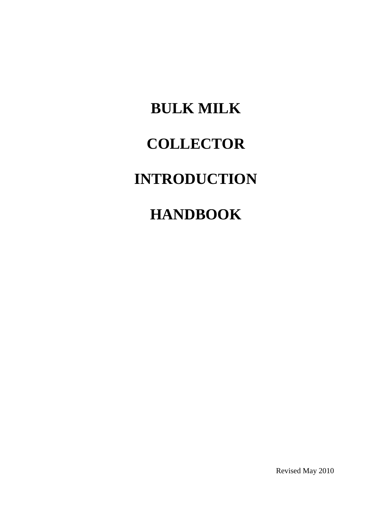# **BULK MILK COLLECTOR INTRODUCTION HANDBOOK**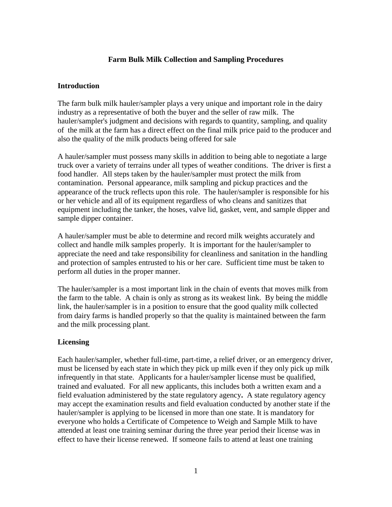## **Farm Bulk Milk Collection and Sampling Procedures**

#### **Introduction**

The farm bulk milk hauler/sampler plays a very unique and important role in the dairy industry as a representative of both the buyer and the seller of raw milk. The hauler/sampler's judgment and decisions with regards to quantity, sampling, and quality of the milk at the farm has a direct effect on the final milk price paid to the producer and also the quality of the milk products being offered for sale

A hauler/sampler must possess many skills in addition to being able to negotiate a large truck over a variety of terrains under all types of weather conditions. The driver is first a food handler. All steps taken by the hauler/sampler must protect the milk from contamination. Personal appearance, milk sampling and pickup practices and the appearance of the truck reflects upon this role. The hauler/sampler is responsible for his or her vehicle and all of its equipment regardless of who cleans and sanitizes that equipment including the tanker, the hoses, valve lid, gasket, vent, and sample dipper and sample dipper container.

A hauler/sampler must be able to determine and record milk weights accurately and collect and handle milk samples properly. It is important for the hauler/sampler to appreciate the need and take responsibility for cleanliness and sanitation in the handling and protection of samples entrusted to his or her care. Sufficient time must be taken to perform all duties in the proper manner.

The hauler/sampler is a most important link in the chain of events that moves milk from the farm to the table. A chain is only as strong as its weakest link. By being the middle link, the hauler/sampler is in a position to ensure that the good quality milk collected from dairy farms is handled properly so that the quality is maintained between the farm and the milk processing plant.

## **Licensing**

Each hauler/sampler, whether full-time, part-time, a relief driver, or an emergency driver, must be licensed by each state in which they pick up milk even if they only pick up milk infrequently in that state. Applicants for a hauler/sampler license must be qualified, trained and evaluated. For all new applicants, this includes both a written exam and a field evaluation administered by the state regulatory agency**.** A state regulatory agency may accept the examination results and field evaluation conducted by another state if the hauler/sampler is applying to be licensed in more than one state. It is mandatory for everyone who holds a Certificate of Competence to Weigh and Sample Milk to have attended at least one training seminar during the three year period their license was in effect to have their license renewed. If someone fails to attend at least one training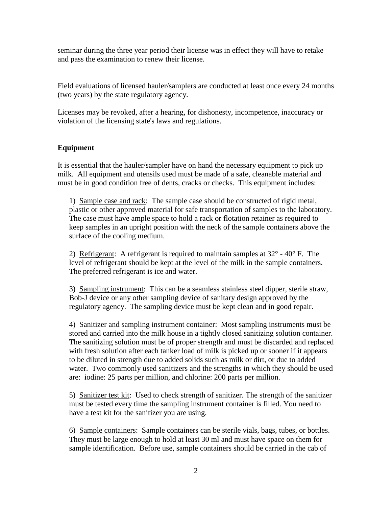seminar during the three year period their license was in effect they will have to retake and pass the examination to renew their license.

Field evaluations of licensed hauler/samplers are conducted at least once every 24 months (two years) by the state regulatory agency.

Licenses may be revoked, after a hearing, for dishonesty, incompetence, inaccuracy or violation of the licensing state's laws and regulations.

## **Equipment**

It is essential that the hauler/sampler have on hand the necessary equipment to pick up milk. All equipment and utensils used must be made of a safe, cleanable material and must be in good condition free of dents, cracks or checks. This equipment includes:

1) Sample case and rack: The sample case should be constructed of rigid metal, plastic or other approved material for safe transportation of samples to the laboratory. The case must have ample space to hold a rack or flotation retainer as required to keep samples in an upright position with the neck of the sample containers above the surface of the cooling medium.

2) Refrigerant: A refrigerant is required to maintain samples at  $32^{\circ}$  -  $40^{\circ}$  F. The level of refrigerant should be kept at the level of the milk in the sample containers. The preferred refrigerant is ice and water.

3) Sampling instrument: This can be a seamless stainless steel dipper, sterile straw, Bob-J device or any other sampling device of sanitary design approved by the regulatory agency. The sampling device must be kept clean and in good repair.

4) Sanitizer and sampling instrument container: Most sampling instruments must be stored and carried into the milk house in a tightly closed sanitizing solution container. The sanitizing solution must be of proper strength and must be discarded and replaced with fresh solution after each tanker load of milk is picked up or sooner if it appears to be diluted in strength due to added solids such as milk or dirt, or due to added water. Two commonly used sanitizers and the strengths in which they should be used are: iodine: 25 parts per million, and chlorine: 200 parts per million.

5) Sanitizer test kit: Used to check strength of sanitizer. The strength of the sanitizer must be tested every time the sampling instrument container is filled. You need to have a test kit for the sanitizer you are using.

6) Sample containers: Sample containers can be sterile vials, bags, tubes, or bottles. They must be large enough to hold at least 30 ml and must have space on them for sample identification. Before use, sample containers should be carried in the cab of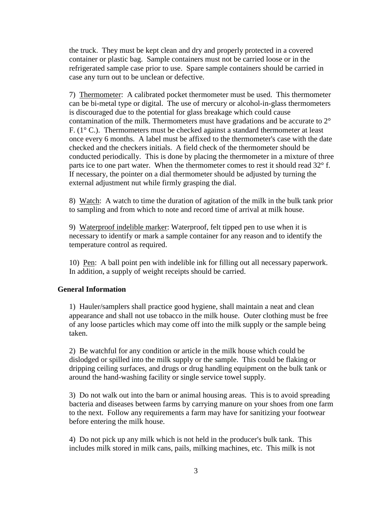the truck. They must be kept clean and dry and properly protected in a covered container or plastic bag. Sample containers must not be carried loose or in the refrigerated sample case prior to use. Spare sample containers should be carried in case any turn out to be unclean or defective.

7) Thermometer: A calibrated pocket thermometer must be used. This thermometer can be bi-metal type or digital. The use of mercury or alcohol-in-glass thermometers is discouraged due to the potential for glass breakage which could cause contamination of the milk. Thermometers must have gradations and be accurate to  $2^{\circ}$ F.  $(1^{\circ}$  C.). Thermometers must be checked against a standard thermometer at least once every 6 months. A label must be affixed to the thermometer's case with the date checked and the checkers initials. A field check of the thermometer should be conducted periodically. This is done by placing the thermometer in a mixture of three parts ice to one part water. When the thermometer comes to rest it should read 32° f. If necessary, the pointer on a dial thermometer should be adjusted by turning the external adjustment nut while firmly grasping the dial.

8) Watch: A watch to time the duration of agitation of the milk in the bulk tank prior to sampling and from which to note and record time of arrival at milk house.

9) Waterproof indelible marker: Waterproof, felt tipped pen to use when it is necessary to identify or mark a sample container for any reason and to identify the temperature control as required.

10) Pen: A ball point pen with indelible ink for filling out all necessary paperwork. In addition, a supply of weight receipts should be carried.

## **General Information**

1) Hauler/samplers shall practice good hygiene, shall maintain a neat and clean appearance and shall not use tobacco in the milk house. Outer clothing must be free of any loose particles which may come off into the milk supply or the sample being taken.

2) Be watchful for any condition or article in the milk house which could be dislodged or spilled into the milk supply or the sample. This could be flaking or dripping ceiling surfaces, and drugs or drug handling equipment on the bulk tank or around the hand-washing facility or single service towel supply.

3) Do not walk out into the barn or animal housing areas. This is to avoid spreading bacteria and diseases between farms by carrying manure on your shoes from one farm to the next. Follow any requirements a farm may have for sanitizing your footwear before entering the milk house.

4) Do not pick up any milk which is not held in the producer's bulk tank. This includes milk stored in milk cans, pails, milking machines, etc. This milk is not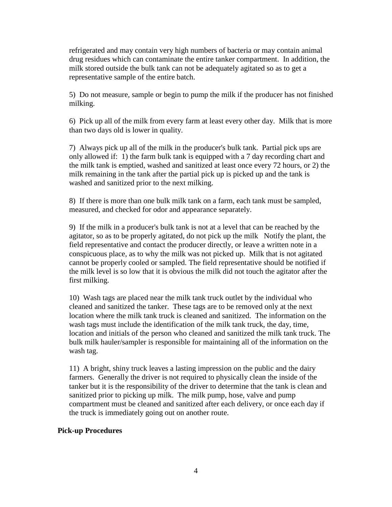refrigerated and may contain very high numbers of bacteria or may contain animal drug residues which can contaminate the entire tanker compartment. In addition, the milk stored outside the bulk tank can not be adequately agitated so as to get a representative sample of the entire batch.

5) Do not measure, sample or begin to pump the milk if the producer has not finished milking.

6) Pick up all of the milk from every farm at least every other day. Milk that is more than two days old is lower in quality.

7) Always pick up all of the milk in the producer's bulk tank. Partial pick ups are only allowed if: 1) the farm bulk tank is equipped with a 7 day recording chart and the milk tank is emptied, washed and sanitized at least once every 72 hours, or 2) the milk remaining in the tank after the partial pick up is picked up and the tank is washed and sanitized prior to the next milking.

8) If there is more than one bulk milk tank on a farm, each tank must be sampled, measured, and checked for odor and appearance separately.

9) If the milk in a producer's bulk tank is not at a level that can be reached by the agitator, so as to be properly agitated, do not pick up the milk Notify the plant, the field representative and contact the producer directly, or leave a written note in a conspicuous place, as to why the milk was not picked up. Milk that is not agitated cannot be properly cooled or sampled. The field representative should be notified if the milk level is so low that it is obvious the milk did not touch the agitator after the first milking.

10) Wash tags are placed near the milk tank truck outlet by the individual who cleaned and sanitized the tanker. These tags are to be removed only at the next location where the milk tank truck is cleaned and sanitized. The information on the wash tags must include the identification of the milk tank truck, the day, time, location and initials of the person who cleaned and sanitized the milk tank truck. The bulk milk hauler/sampler is responsible for maintaining all of the information on the wash tag.

11) A bright, shiny truck leaves a lasting impression on the public and the dairy farmers. Generally the driver is not required to physically clean the inside of the tanker but it is the responsibility of the driver to determine that the tank is clean and sanitized prior to picking up milk. The milk pump, hose, valve and pump compartment must be cleaned and sanitized after each delivery, or once each day if the truck is immediately going out on another route.

#### **Pick-up Procedures**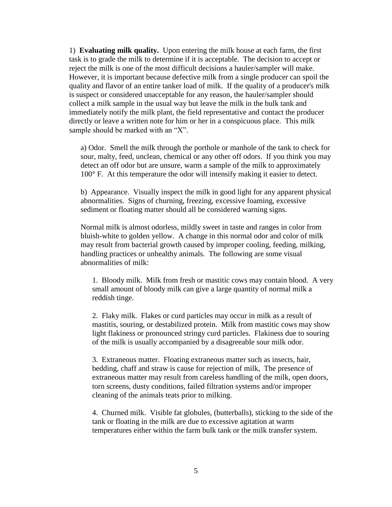1) **Evaluating milk quality.** Upon entering the milk house at each farm, the first task is to grade the milk to determine if it is acceptable. The decision to accept or reject the milk is one of the most difficult decisions a hauler/sampler will make. However, it is important because defective milk from a single producer can spoil the quality and flavor of an entire tanker load of milk. If the quality of a producer's milk is suspect or considered unacceptable for any reason, the hauler/sampler should collect a milk sample in the usual way but leave the milk in the bulk tank and immediately notify the milk plant, the field representative and contact the producer directly or leave a written note for him or her in a conspicuous place. This milk sample should be marked with an "X".

a) Odor. Smell the milk through the porthole or manhole of the tank to check for sour, malty, feed, unclean, chemical or any other off odors. If you think you may detect an off odor but are unsure, warm a sample of the milk to approximately 100° F. At this temperature the odor will intensify making it easier to detect.

b) Appearance. Visually inspect the milk in good light for any apparent physical abnormalities. Signs of churning, freezing, excessive foaming, excessive sediment or floating matter should all be considered warning signs.

Normal milk is almost odorless, mildly sweet in taste and ranges in color from bluish-white to golden yellow. A change in this normal odor and color of milk may result from bacterial growth caused by improper cooling, feeding, milking, handling practices or unhealthy animals. The following are some visual abnormalities of milk:

1. Bloody milk. Milk from fresh or mastitic cows may contain blood. A very small amount of bloody milk can give a large quantity of normal milk a reddish tinge.

2. Flaky milk. Flakes or curd particles may occur in milk as a result of mastitis, souring, or destabilized protein. Milk from mastitic cows may show light flakiness or pronounced stringy curd particles. Flakiness due to souring of the milk is usually accompanied by a disagreeable sour milk odor.

3. Extraneous matter. Floating extraneous matter such as insects, hair, bedding, chaff and straw is cause for rejection of milk, The presence of extraneous matter may result from careless handling of the milk, open doors, torn screens, dusty conditions, failed filtration systems and/or improper cleaning of the animals teats prior to milking.

4. Churned milk. Visible fat globules, (butterballs), sticking to the side of the tank or floating in the milk are due to excessive agitation at warm temperatures either within the farm bulk tank or the milk transfer system.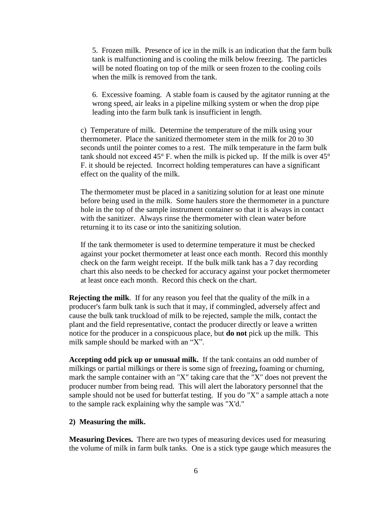5. Frozen milk. Presence of ice in the milk is an indication that the farm bulk tank is malfunctioning and is cooling the milk below freezing. The particles will be noted floating on top of the milk or seen frozen to the cooling coils when the milk is removed from the tank.

6. Excessive foaming. A stable foam is caused by the agitator running at the wrong speed, air leaks in a pipeline milking system or when the drop pipe leading into the farm bulk tank is insufficient in length.

c) Temperature of milk. Determine the temperature of the milk using your thermometer. Place the sanitized thermometer stem in the milk for 20 to 30 seconds until the pointer comes to a rest. The milk temperature in the farm bulk tank should not exceed  $45^{\circ}$  F. when the milk is picked up. If the milk is over  $45^{\circ}$ F. it should be rejected. Incorrect holding temperatures can have a significant effect on the quality of the milk.

The thermometer must be placed in a sanitizing solution for at least one minute before being used in the milk. Some haulers store the thermometer in a puncture hole in the top of the sample instrument container so that it is always in contact with the sanitizer. Always rinse the thermometer with clean water before returning it to its case or into the sanitizing solution.

If the tank thermometer is used to determine temperature it must be checked against your pocket thermometer at least once each month. Record this monthly check on the farm weight receipt. If the bulk milk tank has a 7 day recording chart this also needs to be checked for accuracy against your pocket thermometer at least once each month. Record this check on the chart.

**Rejecting the milk**. If for any reason you feel that the quality of the milk in a producer's farm bulk tank is such that it may, if commingled, adversely affect and cause the bulk tank truckload of milk to be rejected, sample the milk, contact the plant and the field representative, contact the producer directly or leave a written notice for the producer in a conspicuous place, but **do not** pick up the milk. This milk sample should be marked with an "X".

**Accepting odd pick up or unusual milk.** If the tank contains an odd number of milkings or partial milkings or there is some sign of freezing**,** foaming or churning, mark the sample container with an "X" taking care that the "X" does not prevent the producer number from being read. This will alert the laboratory personnel that the sample should not be used for butterfat testing. If you do "X" a sample attach a note to the sample rack explaining why the sample was "X'd."

#### **2) Measuring the milk.**

**Measuring Devices.** There are two types of measuring devices used for measuring the volume of milk in farm bulk tanks. One is a stick type gauge which measures the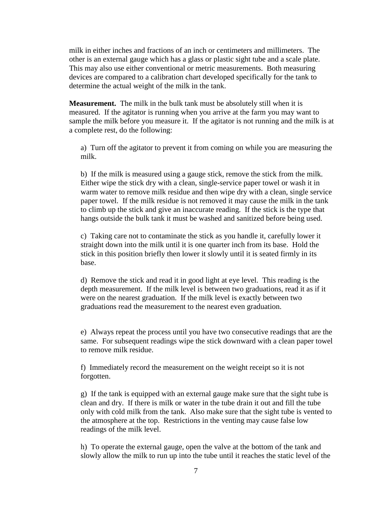milk in either inches and fractions of an inch or centimeters and millimeters. The other is an external gauge which has a glass or plastic sight tube and a scale plate. This may also use either conventional or metric measurements. Both measuring devices are compared to a calibration chart developed specifically for the tank to determine the actual weight of the milk in the tank.

**Measurement.** The milk in the bulk tank must be absolutely still when it is measured. If the agitator is running when you arrive at the farm you may want to sample the milk before you measure it. If the agitator is not running and the milk is at a complete rest, do the following:

a) Turn off the agitator to prevent it from coming on while you are measuring the milk.

b) If the milk is measured using a gauge stick, remove the stick from the milk. Either wipe the stick dry with a clean, single-service paper towel or wash it in warm water to remove milk residue and then wipe dry with a clean, single service paper towel. If the milk residue is not removed it may cause the milk in the tank to climb up the stick and give an inaccurate reading. If the stick is the type that hangs outside the bulk tank it must be washed and sanitized before being used.

c) Taking care not to contaminate the stick as you handle it, carefully lower it straight down into the milk until it is one quarter inch from its base. Hold the stick in this position briefly then lower it slowly until it is seated firmly in its base.

d) Remove the stick and read it in good light at eye level. This reading is the depth measurement. If the milk level is between two graduations, read it as if it were on the nearest graduation. If the milk level is exactly between two graduations read the measurement to the nearest even graduation.

e) Always repeat the process until you have two consecutive readings that are the same. For subsequent readings wipe the stick downward with a clean paper towel to remove milk residue.

f) Immediately record the measurement on the weight receipt so it is not forgotten.

g) If the tank is equipped with an external gauge make sure that the sight tube is clean and dry. If there is milk or water in the tube drain it out and fill the tube only with cold milk from the tank. Also make sure that the sight tube is vented to the atmosphere at the top. Restrictions in the venting may cause false low readings of the milk level.

h) To operate the external gauge, open the valve at the bottom of the tank and slowly allow the milk to run up into the tube until it reaches the static level of the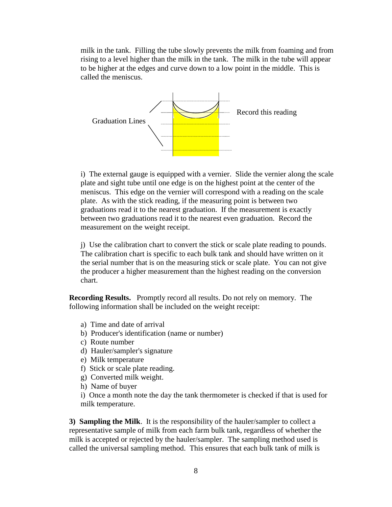milk in the tank. Filling the tube slowly prevents the milk from foaming and from rising to a level higher than the milk in the tank. The milk in the tube will appear to be higher at the edges and curve down to a low point in the middle. This is called the meniscus.



i) The external gauge is equipped with a vernier. Slide the vernier along the scale plate and sight tube until one edge is on the highest point at the center of the meniscus. This edge on the vernier will correspond with a reading on the scale plate. As with the stick reading, if the measuring point is between two graduations read it to the nearest graduation. If the measurement is exactly between two graduations read it to the nearest even graduation. Record the measurement on the weight receipt.

j) Use the calibration chart to convert the stick or scale plate reading to pounds. The calibration chart is specific to each bulk tank and should have written on it the serial number that is on the measuring stick or scale plate. You can not give the producer a higher measurement than the highest reading on the conversion chart.

**Recording Results.** Promptly record all results. Do not rely on memory. The following information shall be included on the weight receipt:

- a) Time and date of arrival
- b) Producer's identification (name or number)
- c) Route number
- d) Hauler/sampler's signature
- e) Milk temperature
- f) Stick or scale plate reading.
- g) Converted milk weight.
- h) Name of buyer

i) Once a month note the day the tank thermometer is checked if that is used for milk temperature.

**3) Sampling the Milk**. It is the responsibility of the hauler/sampler to collect a representative sample of milk from each farm bulk tank, regardless of whether the milk is accepted or rejected by the hauler/sampler.The sampling method used is called the universal sampling method. This ensures that each bulk tank of milk is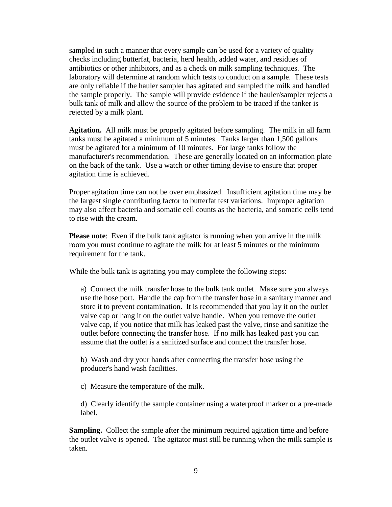sampled in such a manner that every sample can be used for a variety of quality checks including butterfat, bacteria, herd health, added water, and residues of antibiotics or other inhibitors, and as a check on milk sampling techniques. The laboratory will determine at random which tests to conduct on a sample. These tests are only reliable if the hauler sampler has agitated and sampled the milk and handled the sample properly. The sample will provide evidence if the hauler/sampler rejects a bulk tank of milk and allow the source of the problem to be traced if the tanker is rejected by a milk plant.

**Agitation.** All milk must be properly agitated before sampling. The milk in all farm tanks must be agitated a minimum of 5 minutes. Tanks larger than 1,500 gallons must be agitated for a minimum of 10 minutes. For large tanks follow the manufacturer's recommendation. These are generally located on an information plate on the back of the tank. Use a watch or other timing devise to ensure that proper agitation time is achieved.

Proper agitation time can not be over emphasized. Insufficient agitation time may be the largest single contributing factor to butterfat test variations. Improper agitation may also affect bacteria and somatic cell counts as the bacteria, and somatic cells tend to rise with the cream.

**Please note**: Even if the bulk tank agitator is running when you arrive in the milk room you must continue to agitate the milk for at least 5 minutes or the minimum requirement for the tank.

While the bulk tank is agitating you may complete the following steps:

a) Connect the milk transfer hose to the bulk tank outlet. Make sure you always use the hose port. Handle the cap from the transfer hose in a sanitary manner and store it to prevent contamination. It is recommended that you lay it on the outlet valve cap or hang it on the outlet valve handle. When you remove the outlet valve cap, if you notice that milk has leaked past the valve, rinse and sanitize the outlet before connecting the transfer hose. If no milk has leaked past you can assume that the outlet is a sanitized surface and connect the transfer hose.

b) Wash and dry your hands after connecting the transfer hose using the producer's hand wash facilities.

c) Measure the temperature of the milk.

d) Clearly identify the sample container using a waterproof marker or a pre-made label.

**Sampling.** Collect the sample after the minimum required agitation time and before the outlet valve is opened. The agitator must still be running when the milk sample is taken.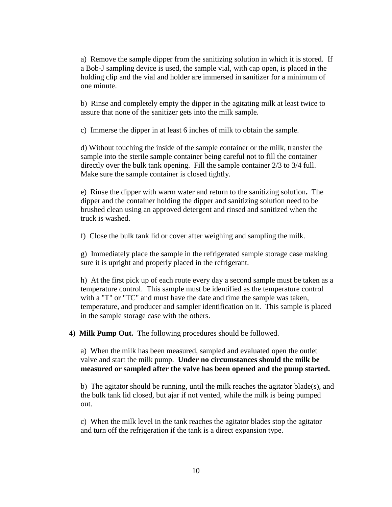a) Remove the sample dipper from the sanitizing solution in which it is stored. If a Bob-J sampling device is used, the sample vial, with cap open, is placed in the holding clip and the vial and holder are immersed in sanitizer for a minimum of one minute.

b) Rinse and completely empty the dipper in the agitating milk at least twice to assure that none of the sanitizer gets into the milk sample.

c) Immerse the dipper in at least 6 inches of milk to obtain the sample.

d) Without touching the inside of the sample container or the milk, transfer the sample into the sterile sample container being careful not to fill the container directly over the bulk tank opening. Fill the sample container 2/3 to 3/4 full. Make sure the sample container is closed tightly.

e) Rinse the dipper with warm water and return to the sanitizing solution**.** The dipper and the container holding the dipper and sanitizing solution need to be brushed clean using an approved detergent and rinsed and sanitized when the truck is washed.

f) Close the bulk tank lid or cover after weighing and sampling the milk.

g) Immediately place the sample in the refrigerated sample storage case making sure it is upright and properly placed in the refrigerant.

h) At the first pick up of each route every day a second sample must be taken as a temperature control. This sample must be identified as the temperature control with a "T" or "TC" and must have the date and time the sample was taken, temperature, and producer and sampler identification on it. This sample is placed in the sample storage case with the others.

**4) Milk Pump Out.** The following procedures should be followed.

a) When the milk has been measured, sampled and evaluated open the outlet valve and start the milk pump. **Under no circumstances should the milk be measured or sampled after the valve has been opened and the pump started.**

b) The agitator should be running, until the milk reaches the agitator blade(s), and the bulk tank lid closed, but ajar if not vented, while the milk is being pumped out.

c) When the milk level in the tank reaches the agitator blades stop the agitator and turn off the refrigeration if the tank is a direct expansion type.